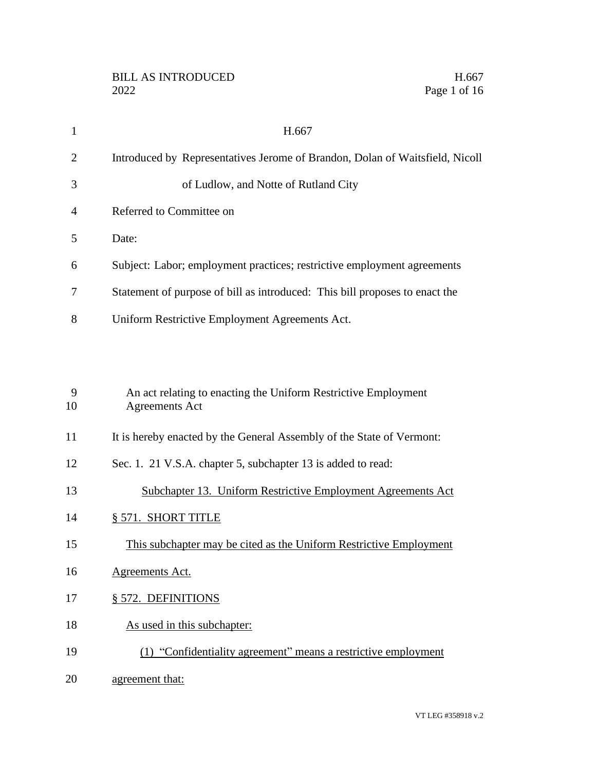| $\mathbf{1}$   | H.667                                                                                   |
|----------------|-----------------------------------------------------------------------------------------|
| $\overline{2}$ | Introduced by Representatives Jerome of Brandon, Dolan of Waitsfield, Nicoll            |
| 3              | of Ludlow, and Notte of Rutland City                                                    |
| 4              | Referred to Committee on                                                                |
| 5              | Date:                                                                                   |
| 6              | Subject: Labor; employment practices; restrictive employment agreements                 |
| 7              | Statement of purpose of bill as introduced: This bill proposes to enact the             |
| 8              | Uniform Restrictive Employment Agreements Act.                                          |
|                |                                                                                         |
|                |                                                                                         |
| 9<br>10        | An act relating to enacting the Uniform Restrictive Employment<br><b>Agreements Act</b> |
| 11             | It is hereby enacted by the General Assembly of the State of Vermont:                   |
| 12             | Sec. 1. 21 V.S.A. chapter 5, subchapter 13 is added to read:                            |
| 13             | Subchapter 13. Uniform Restrictive Employment Agreements Act                            |
| 14             | § 571. SHORT TITLE                                                                      |
| 15             | This subchapter may be cited as the Uniform Restrictive Employment                      |

- Agreements Act.
- § 572. DEFINITIONS
- 18 As used in this subchapter:
- (1) "Confidentiality agreement" means a restrictive employment
- 20 agreement that: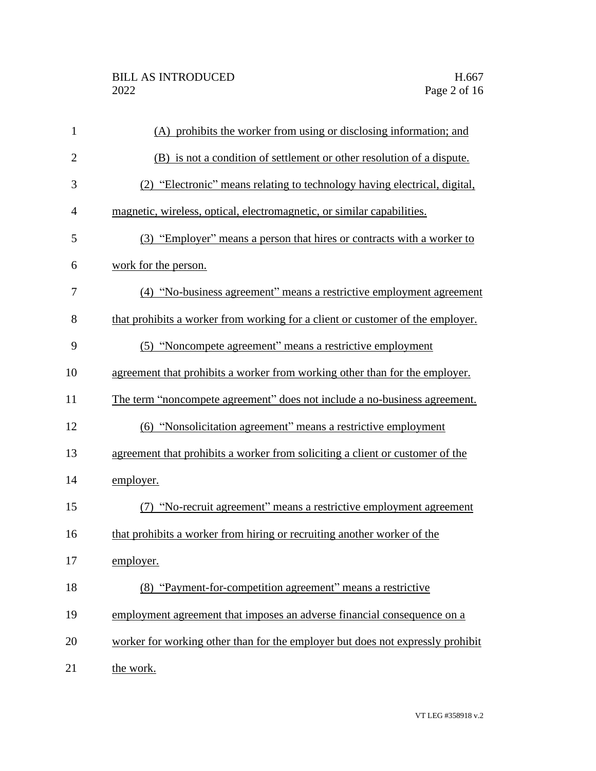| $\mathbf{1}$   | (A) prohibits the worker from using or disclosing information; and             |
|----------------|--------------------------------------------------------------------------------|
| $\overline{2}$ | (B) is not a condition of settlement or other resolution of a dispute.         |
| 3              | (2) "Electronic" means relating to technology having electrical, digital,      |
| $\overline{4}$ | magnetic, wireless, optical, electromagnetic, or similar capabilities.         |
| 5              | (3) "Employer" means a person that hires or contracts with a worker to         |
| 6              | work for the person.                                                           |
| 7              | (4) "No-business agreement" means a restrictive employment agreement           |
| 8              | that prohibits a worker from working for a client or customer of the employer. |
| 9              | (5) "Noncompete agreement" means a restrictive employment                      |
| 10             | agreement that prohibits a worker from working other than for the employer.    |
| 11             | The term "noncompete agreement" does not include a no-business agreement.      |
| 12             | (6) "Nonsolicitation agreement" means a restrictive employment                 |
| 13             | agreement that prohibits a worker from soliciting a client or customer of the  |
| 14             | employer.                                                                      |
| 15             | (7) "No-recruit agreement" means a restrictive employment agreement            |
| 16             | that prohibits a worker from hiring or recruiting another worker of the        |
| 17             | employer.                                                                      |
| 18             | (8) "Payment-for-competition agreement" means a restrictive                    |
| 19             | employment agreement that imposes an adverse financial consequence on a        |
| 20             | worker for working other than for the employer but does not expressly prohibit |
| 21             | the work.                                                                      |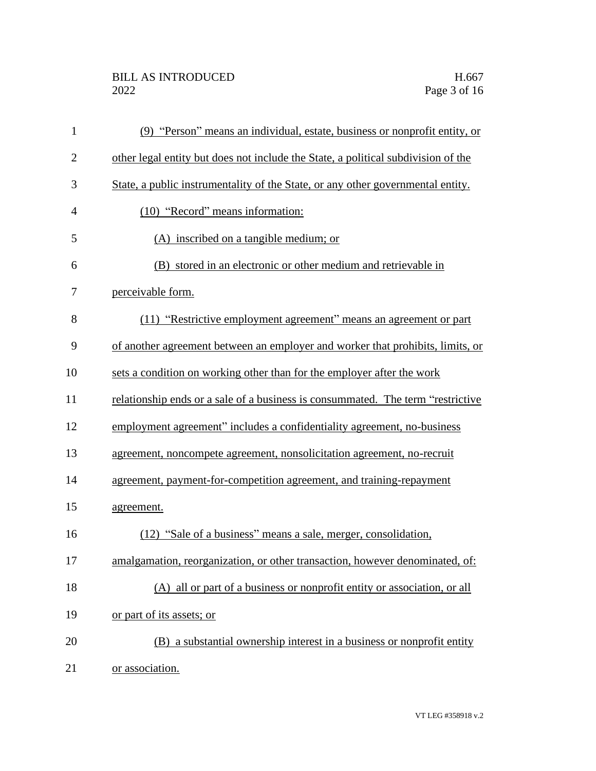## BILL AS INTRODUCED H.667<br>2022 Page 3 of 16

| $\mathbf{1}$   | (9) "Person" means an individual, estate, business or nonprofit entity, or        |
|----------------|-----------------------------------------------------------------------------------|
| $\overline{2}$ | other legal entity but does not include the State, a political subdivision of the |
| 3              | State, a public instrumentality of the State, or any other governmental entity.   |
| $\overline{4}$ | (10) "Record" means information:                                                  |
| 5              | (A) inscribed on a tangible medium; or                                            |
| 6              | (B) stored in an electronic or other medium and retrievable in                    |
| 7              | perceivable form.                                                                 |
| 8              | (11) "Restrictive employment agreement" means an agreement or part                |
| 9              | of another agreement between an employer and worker that prohibits, limits, or    |
| 10             | sets a condition on working other than for the employer after the work            |
| 11             | relationship ends or a sale of a business is consummated. The term "restrictive"  |
| 12             | employment agreement" includes a confidentiality agreement, no-business           |
| 13             | agreement, noncompete agreement, nonsolicitation agreement, no-recruit            |
| 14             | agreement, payment-for-competition agreement, and training-repayment              |
| 15             | agreement.                                                                        |
| 16             | (12) "Sale of a business" means a sale, merger, consolidation,                    |
| 17             | amalgamation, reorganization, or other transaction, however denominated, of:      |
| 18             | (A) all or part of a business or nonprofit entity or association, or all          |
| 19             | or part of its assets; or                                                         |
| 20             | (B) a substantial ownership interest in a business or nonprofit entity            |
| 21             | or association.                                                                   |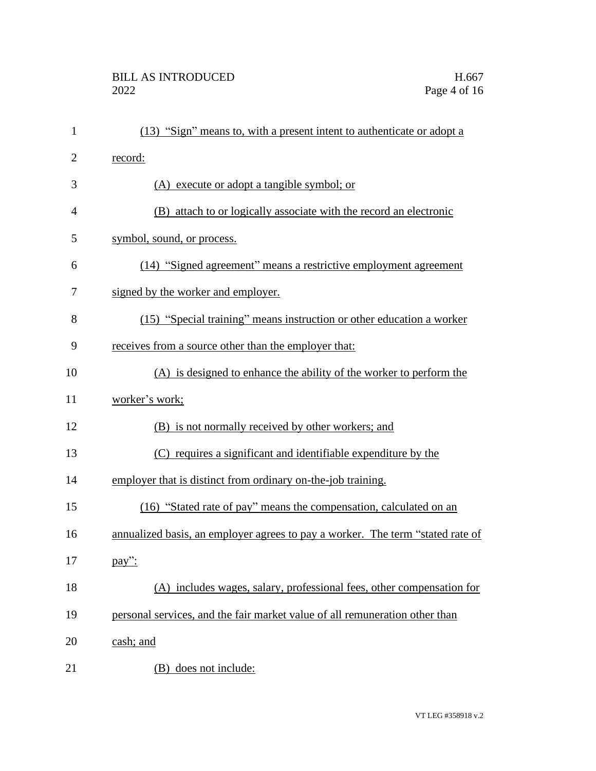| $\mathbf{1}$   | (13) "Sign" means to, with a present intent to authenticate or adopt a         |
|----------------|--------------------------------------------------------------------------------|
| $\overline{2}$ | record:                                                                        |
| 3              | (A) execute or adopt a tangible symbol; or                                     |
| 4              | (B) attach to or logically associate with the record an electronic             |
| 5              | symbol, sound, or process.                                                     |
| 6              | (14) "Signed agreement" means a restrictive employment agreement               |
| 7              | signed by the worker and employer.                                             |
| 8              | (15) "Special training" means instruction or other education a worker          |
| 9              | receives from a source other than the employer that:                           |
| 10             | (A) is designed to enhance the ability of the worker to perform the            |
| 11             | worker's work;                                                                 |
| 12             | (B) is not normally received by other workers; and                             |
| 13             | (C) requires a significant and identifiable expenditure by the                 |
| 14             | employer that is distinct from ordinary on-the-job training.                   |
| 15             | (16) "Stated rate of pay" means the compensation, calculated on an             |
| 16             | annualized basis, an employer agrees to pay a worker. The term "stated rate of |
| 17             | pay":                                                                          |
| 18             | (A) includes wages, salary, professional fees, other compensation for          |
| 19             | personal services, and the fair market value of all remuneration other than    |
| 20             | cash; and                                                                      |
| 21             | does not include:<br>(B)                                                       |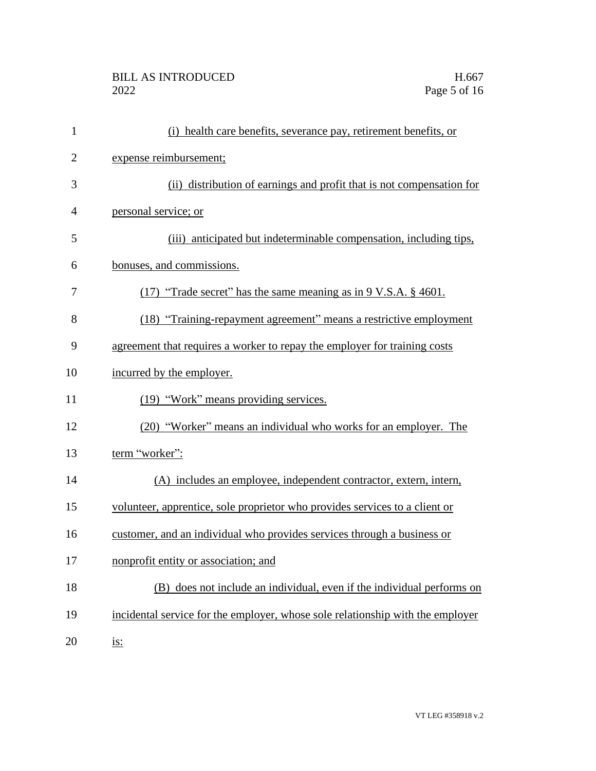| $\mathbf{1}$   | (i) health care benefits, severance pay, retirement benefits, or               |
|----------------|--------------------------------------------------------------------------------|
| $\overline{2}$ | expense reimbursement;                                                         |
| 3              | (ii) distribution of earnings and profit that is not compensation for          |
| $\overline{4}$ | personal service; or                                                           |
| 5              | (iii) anticipated but indeterminable compensation, including tips,             |
| 6              | bonuses, and commissions.                                                      |
| 7              | $(17)$ "Trade secret" has the same meaning as in 9 V.S.A. § 4601.              |
| 8              | (18) "Training-repayment agreement" means a restrictive employment             |
| 9              | agreement that requires a worker to repay the employer for training costs      |
| 10             | incurred by the employer.                                                      |
| 11             | (19) "Work" means providing services.                                          |
| 12             | (20) "Worker" means an individual who works for an employer. The               |
| 13             | term "worker":                                                                 |
| 14             | (A) includes an employee, independent contractor, extern, intern,              |
| 15             | volunteer, apprentice, sole proprietor who provides services to a client or    |
| 16             | customer, and an individual who provides services through a business or        |
| 17             | nonprofit entity or association; and                                           |
| 18             | (B) does not include an individual, even if the individual performs on         |
| 19             | incidental service for the employer, whose sole relationship with the employer |
| 20             | <u>is:</u>                                                                     |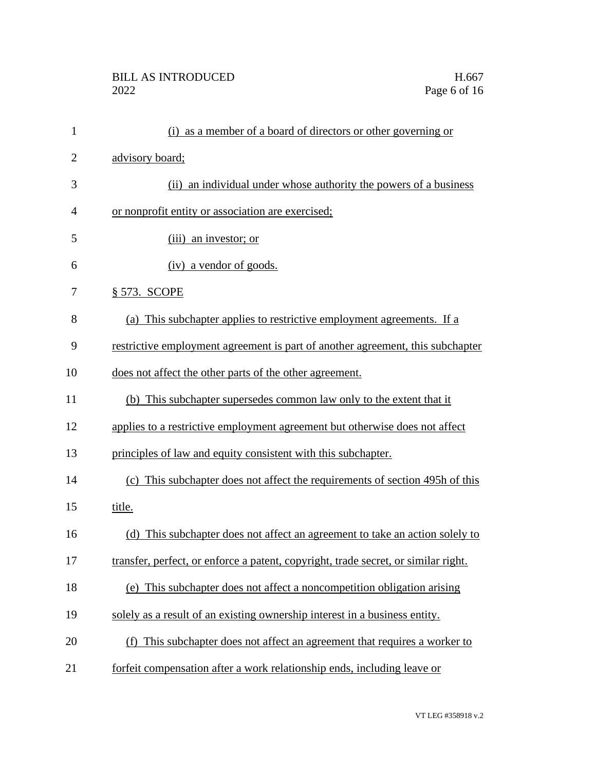| $\mathbf{1}$   | (i) as a member of a board of directors or other governing or                      |
|----------------|------------------------------------------------------------------------------------|
| $\overline{2}$ | advisory board;                                                                    |
| 3              | (ii) an individual under whose authority the powers of a business                  |
| 4              | or nonprofit entity or association are exercised;                                  |
| 5              | (iii) an investor; or                                                              |
| 6              | (iv) a vendor of goods.                                                            |
| 7              | § 573. SCOPE                                                                       |
| 8              | (a) This subchapter applies to restrictive employment agreements. If a             |
| 9              | restrictive employment agreement is part of another agreement, this subchapter     |
| 10             | does not affect the other parts of the other agreement.                            |
| 11             | (b) This subchapter supersedes common law only to the extent that it               |
| 12             | applies to a restrictive employment agreement but otherwise does not affect        |
| 13             | principles of law and equity consistent with this subchapter.                      |
| 14             | (c) This subchapter does not affect the requirements of section 495h of this       |
| 15             | title.                                                                             |
| 16             | (d) This subchapter does not affect an agreement to take an action solely to       |
| 17             | transfer, perfect, or enforce a patent, copyright, trade secret, or similar right. |
| 18             | (e) This subchapter does not affect a noncompetition obligation arising            |
| 19             | solely as a result of an existing ownership interest in a business entity.         |
| 20             | (f) This subchapter does not affect an agreement that requires a worker to         |
| 21             | forfeit compensation after a work relationship ends, including leave or            |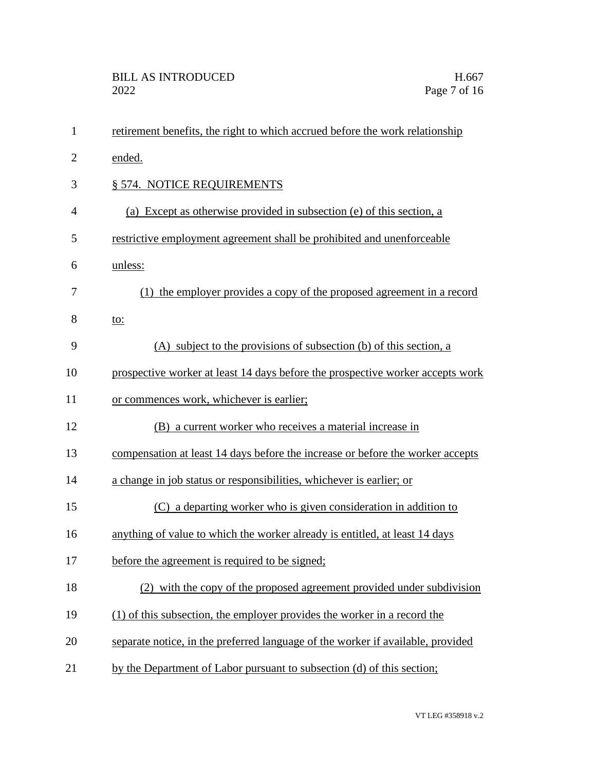| $\mathbf{1}$   | retirement benefits, the right to which accrued before the work relationship    |
|----------------|---------------------------------------------------------------------------------|
| $\overline{2}$ | ended.                                                                          |
| 3              | § 574. NOTICE REQUIREMENTS                                                      |
| $\overline{4}$ | (a) Except as otherwise provided in subsection (e) of this section, a           |
| 5              | restrictive employment agreement shall be prohibited and unenforceable          |
| 6              | unless:                                                                         |
| 7              | (1) the employer provides a copy of the proposed agreement in a record          |
| 8              | <u>to:</u>                                                                      |
| 9              | (A) subject to the provisions of subsection (b) of this section, a              |
| 10             | prospective worker at least 14 days before the prospective worker accepts work  |
| 11             | or commences work, whichever is earlier;                                        |
| 12             | (B) a current worker who receives a material increase in                        |
| 13             | compensation at least 14 days before the increase or before the worker accepts  |
| 14             | a change in job status or responsibilities, whichever is earlier; or            |
| 15             | (C) a departing worker who is given consideration in addition to                |
| 16             | anything of value to which the worker already is entitled, at least 14 days     |
| 17             | before the agreement is required to be signed;                                  |
| 18             | (2) with the copy of the proposed agreement provided under subdivision          |
| 19             | (1) of this subsection, the employer provides the worker in a record the        |
| 20             | separate notice, in the preferred language of the worker if available, provided |
| 21             | by the Department of Labor pursuant to subsection (d) of this section;          |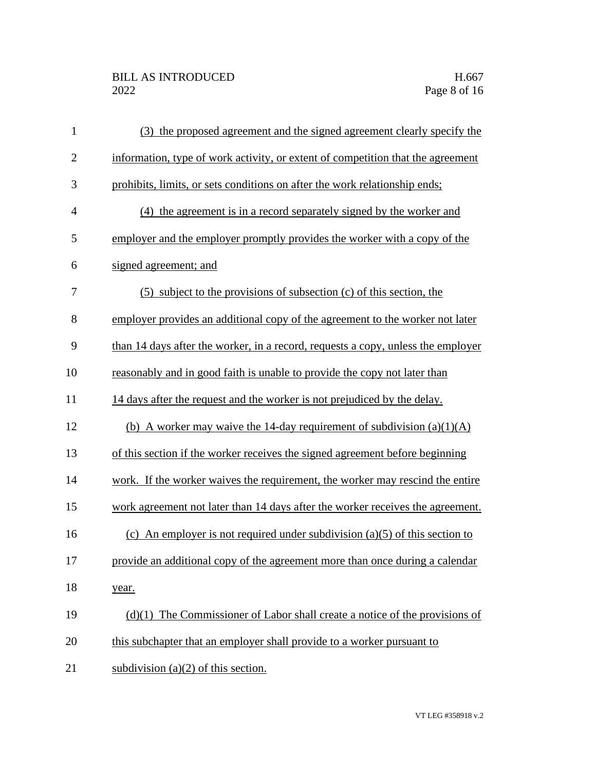| $\mathbf{1}$     | (3) the proposed agreement and the signed agreement clearly specify the          |
|------------------|----------------------------------------------------------------------------------|
| $\overline{2}$   | information, type of work activity, or extent of competition that the agreement  |
| 3                | prohibits, limits, or sets conditions on after the work relationship ends;       |
| $\overline{4}$   | (4) the agreement is in a record separately signed by the worker and             |
| 5                | employer and the employer promptly provides the worker with a copy of the        |
| 6                | signed agreement; and                                                            |
| $\boldsymbol{7}$ | (5) subject to the provisions of subsection (c) of this section, the             |
| 8                | employer provides an additional copy of the agreement to the worker not later    |
| 9                | than 14 days after the worker, in a record, requests a copy, unless the employer |
| 10               | reasonably and in good faith is unable to provide the copy not later than        |
| 11               | 14 days after the request and the worker is not prejudiced by the delay.         |
| 12               | (b) A worker may waive the 14-day requirement of subdivision $(a)(1)(A)$         |
| 13               | of this section if the worker receives the signed agreement before beginning     |
| 14               | work. If the worker waives the requirement, the worker may rescind the entire    |
| 15               | work agreement not later than 14 days after the worker receives the agreement.   |
| 16               | (c) An employer is not required under subdivision (a)(5) of this section to      |
| 17               | provide an additional copy of the agreement more than once during a calendar     |
| 18               | year.                                                                            |
| 19               | $(d)(1)$ The Commissioner of Labor shall create a notice of the provisions of    |
| 20               | this subchapter that an employer shall provide to a worker pursuant to           |
| 21               | subdivision $(a)(2)$ of this section.                                            |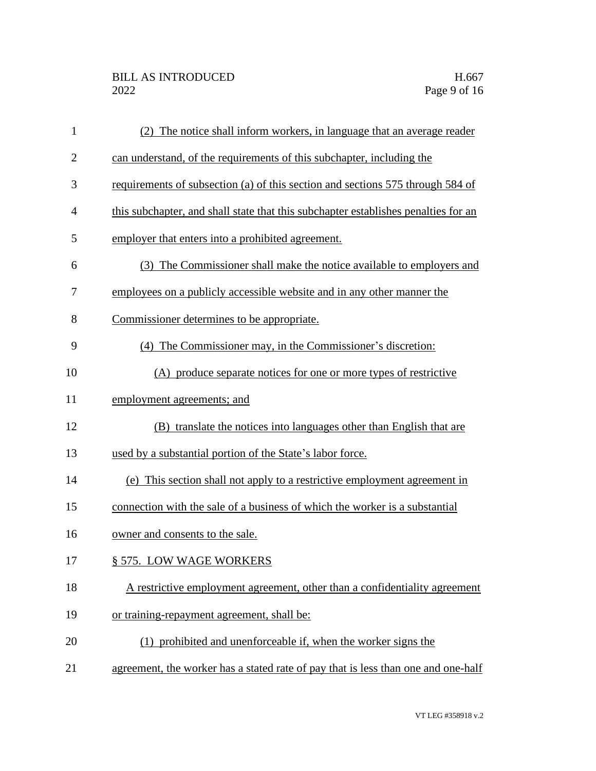| $\mathbf{1}$   | (2) The notice shall inform workers, in language that an average reader            |
|----------------|------------------------------------------------------------------------------------|
| $\overline{2}$ | can understand, of the requirements of this subchapter, including the              |
| 3              | requirements of subsection (a) of this section and sections 575 through 584 of     |
| 4              | this subchapter, and shall state that this subchapter establishes penalties for an |
| 5              | employer that enters into a prohibited agreement.                                  |
| 6              | (3) The Commissioner shall make the notice available to employers and              |
| 7              | employees on a publicly accessible website and in any other manner the             |
| 8              | Commissioner determines to be appropriate.                                         |
| 9              | (4) The Commissioner may, in the Commissioner's discretion:                        |
| 10             | (A) produce separate notices for one or more types of restrictive                  |
| 11             | employment agreements; and                                                         |
| 12             | (B) translate the notices into languages other than English that are               |
| 13             | used by a substantial portion of the State's labor force.                          |
| 14             | (e) This section shall not apply to a restrictive employment agreement in          |
| 15             | connection with the sale of a business of which the worker is a substantial        |
| 16             | owner and consents to the sale.                                                    |
| 17             | § 575. LOW WAGE WORKERS                                                            |
| 18             | A restrictive employment agreement, other than a confidentiality agreement         |
| 19             | or training-repayment agreement, shall be:                                         |
| 20             | (1) prohibited and unenforceable if, when the worker signs the                     |
| 21             | agreement, the worker has a stated rate of pay that is less than one and one-half  |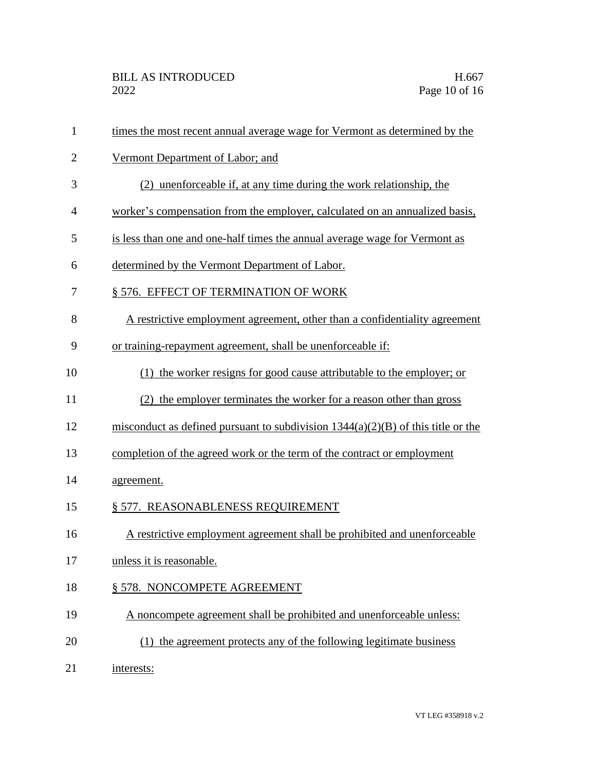| $\mathbf{1}$   | times the most recent annual average wage for Vermont as determined by the         |
|----------------|------------------------------------------------------------------------------------|
| $\overline{2}$ | Vermont Department of Labor; and                                                   |
| 3              | (2) unenforceable if, at any time during the work relationship, the                |
| 4              | worker's compensation from the employer, calculated on an annualized basis,        |
| 5              | is less than one and one-half times the annual average wage for Vermont as         |
| 6              | determined by the Vermont Department of Labor.                                     |
| 7              | § 576. EFFECT OF TERMINATION OF WORK                                               |
| 8              | A restrictive employment agreement, other than a confidentiality agreement         |
| 9              | or training-repayment agreement, shall be unenforceable if:                        |
| 10             | (1) the worker resigns for good cause attributable to the employer; or             |
| 11             | (2) the employer terminates the worker for a reason other than gross               |
| 12             | misconduct as defined pursuant to subdivision $1344(a)(2)(B)$ of this title or the |
| 13             | completion of the agreed work or the term of the contract or employment            |
| 14             | agreement.                                                                         |
| 15             | § 577. REASONABLENESS REQUIREMENT                                                  |
| 16             | A restrictive employment agreement shall be prohibited and unenforceable           |
| 17             | unless it is reasonable.                                                           |
| 18             | § 578. NONCOMPETE AGREEMENT                                                        |
| 19             | A noncompete agreement shall be prohibited and unenforceable unless:               |
| 20             | (1) the agreement protects any of the following legitimate business                |
| 21             | interests:                                                                         |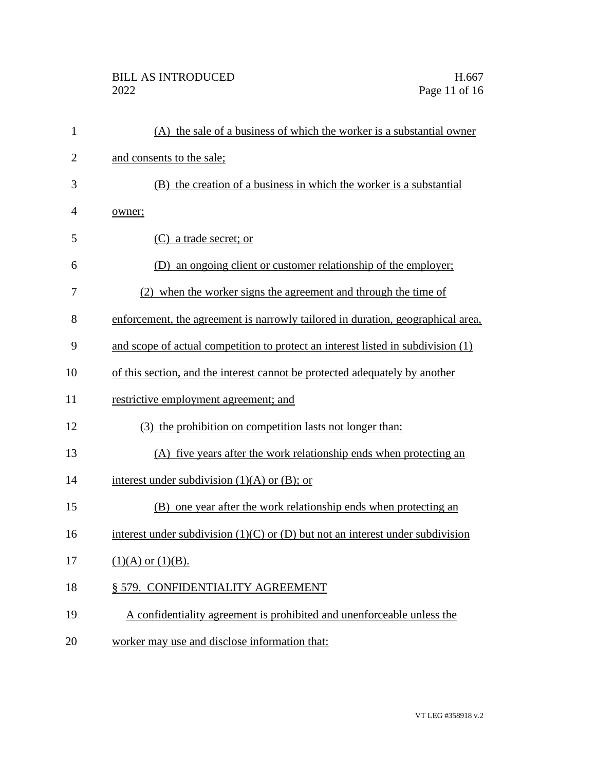## BILL AS INTRODUCED H.667<br>2022 Page 11 of 16

| $\mathbf{1}$   | (A) the sale of a business of which the worker is a substantial owner              |
|----------------|------------------------------------------------------------------------------------|
| $\overline{c}$ | and consents to the sale;                                                          |
| 3              | (B) the creation of a business in which the worker is a substantial                |
| 4              | owner;                                                                             |
| 5              | (C) a trade secret; or                                                             |
| 6              | an ongoing client or customer relationship of the employer;<br>(D)                 |
| 7              | (2) when the worker signs the agreement and through the time of                    |
| 8              | enforcement, the agreement is narrowly tailored in duration, geographical area,    |
| 9              | and scope of actual competition to protect an interest listed in subdivision (1)   |
| 10             | of this section, and the interest cannot be protected adequately by another        |
| 11             | restrictive employment agreement; and                                              |
| 12             | (3) the prohibition on competition lasts not longer than:                          |
| 13             | (A) five years after the work relationship ends when protecting an                 |
| 14             | interest under subdivision $(1)(A)$ or $(B)$ ; or                                  |
| 15             | (B) one year after the work relationship ends when protecting an                   |
| 16             | interest under subdivision $(1)(C)$ or $(D)$ but not an interest under subdivision |
| 17             | $(1)(A)$ or $(1)(B)$ .                                                             |
| 18             | § 579. CONFIDENTIALITY AGREEMENT                                                   |
| 19             | A confidentiality agreement is prohibited and unenforceable unless the             |
| 20             | worker may use and disclose information that:                                      |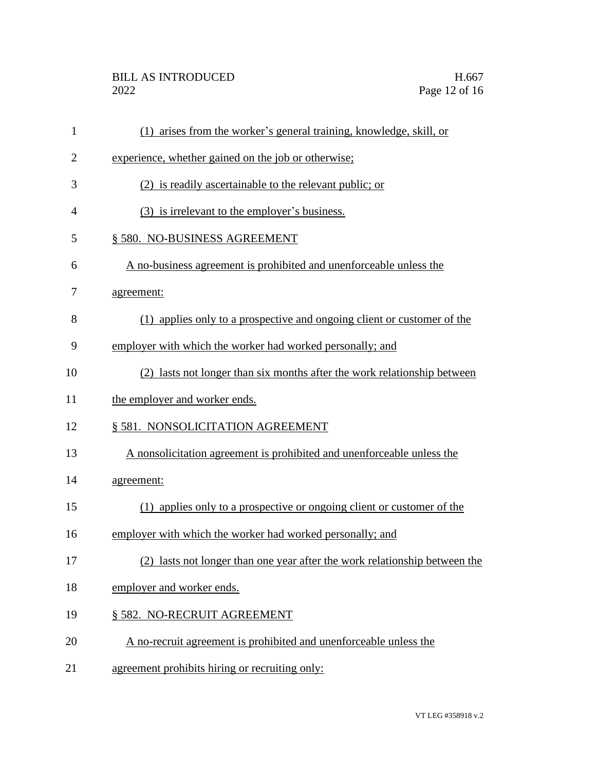| $\mathbf{1}$   | (1) arises from the worker's general training, knowledge, skill, or        |
|----------------|----------------------------------------------------------------------------|
| $\overline{2}$ | experience, whether gained on the job or otherwise;                        |
| 3              | (2) is readily ascertainable to the relevant public; or                    |
| 4              | (3) is irrelevant to the employer's business.                              |
| 5              | § 580. NO-BUSINESS AGREEMENT                                               |
| 6              | A no-business agreement is prohibited and unenforceable unless the         |
| 7              | agreement:                                                                 |
| 8              | (1) applies only to a prospective and ongoing client or customer of the    |
| 9              | employer with which the worker had worked personally; and                  |
| 10             | (2) lasts not longer than six months after the work relationship between   |
| 11             | the employer and worker ends.                                              |
| 12             | § 581. NONSOLICITATION AGREEMENT                                           |
| 13             | A nonsolicitation agreement is prohibited and unenforceable unless the     |
| 14             | agreement:                                                                 |
| 15             | (1) applies only to a prospective or ongoing client or customer of the     |
| 16             | employer with which the worker had worked personally; and                  |
| 17             | (2) lasts not longer than one year after the work relationship between the |
| 18             | employer and worker ends.                                                  |
| 19             | § 582. NO-RECRUIT AGREEMENT                                                |
| 20             | A no-recruit agreement is prohibited and unenforceable unless the          |
| 21             | agreement prohibits hiring or recruiting only:                             |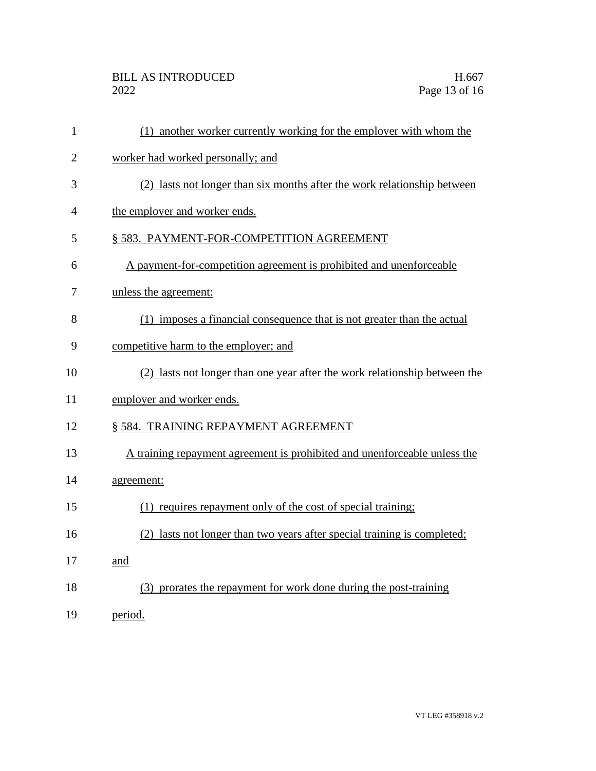| $\mathbf{1}$   | (1) another worker currently working for the employer with whom the        |
|----------------|----------------------------------------------------------------------------|
| $\overline{2}$ | worker had worked personally; and                                          |
| 3              | (2) lasts not longer than six months after the work relationship between   |
| 4              | the employer and worker ends.                                              |
| 5              | § 583. PAYMENT-FOR-COMPETITION AGREEMENT                                   |
| 6              | A payment-for-competition agreement is prohibited and unenforceable        |
| 7              | unless the agreement:                                                      |
| 8              | (1) imposes a financial consequence that is not greater than the actual    |
| 9              | competitive harm to the employer; and                                      |
| 10             | (2) lasts not longer than one year after the work relationship between the |
| 11             | employer and worker ends.                                                  |
| 12             | § 584. TRAINING REPAYMENT AGREEMENT                                        |
| 13             | A training repayment agreement is prohibited and unenforceable unless the  |
| 14             | agreement:                                                                 |
| 15             | (1) requires repayment only of the cost of special training;               |
| 16             | (2) lasts not longer than two years after special training is completed;   |
| 17             | and                                                                        |
| 18             | (3) prorates the repayment for work done during the post-training          |
| 19             | period.                                                                    |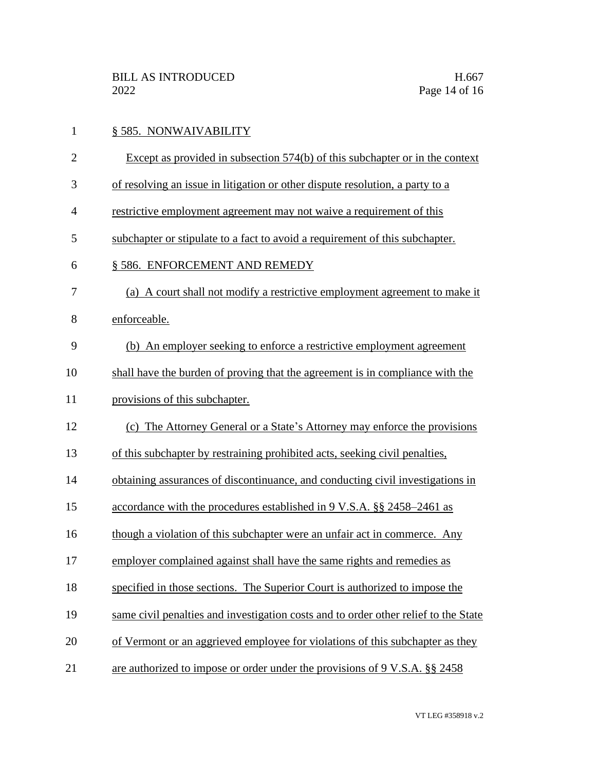| $\mathbf{1}$   | § 585. NONWAIVABILITY                                                               |
|----------------|-------------------------------------------------------------------------------------|
| $\overline{2}$ | Except as provided in subsection 574(b) of this subchapter or in the context        |
| 3              | of resolving an issue in litigation or other dispute resolution, a party to a       |
| $\overline{4}$ | restrictive employment agreement may not waive a requirement of this                |
| 5              | subchapter or stipulate to a fact to avoid a requirement of this subchapter.        |
| 6              | § 586. ENFORCEMENT AND REMEDY                                                       |
| 7              | (a) A court shall not modify a restrictive employment agreement to make it          |
| 8              | enforceable.                                                                        |
| 9              | (b) An employer seeking to enforce a restrictive employment agreement               |
| 10             | shall have the burden of proving that the agreement is in compliance with the       |
| 11             | provisions of this subchapter.                                                      |
| 12             | (c) The Attorney General or a State's Attorney may enforce the provisions           |
| 13             | of this subchapter by restraining prohibited acts, seeking civil penalties,         |
| 14             | obtaining assurances of discontinuance, and conducting civil investigations in      |
| 15             | accordance with the procedures established in 9 V.S.A. §§ 2458–2461 as              |
| 16             | though a violation of this subchapter were an unfair act in commerce. Any           |
| 17             | employer complained against shall have the same rights and remedies as              |
| 18             | specified in those sections. The Superior Court is authorized to impose the         |
| 19             | same civil penalties and investigation costs and to order other relief to the State |
| 20             | of Vermont or an aggrieved employee for violations of this subchapter as they       |
| 21             | are authorized to impose or order under the provisions of 9 V.S.A. §§ 2458          |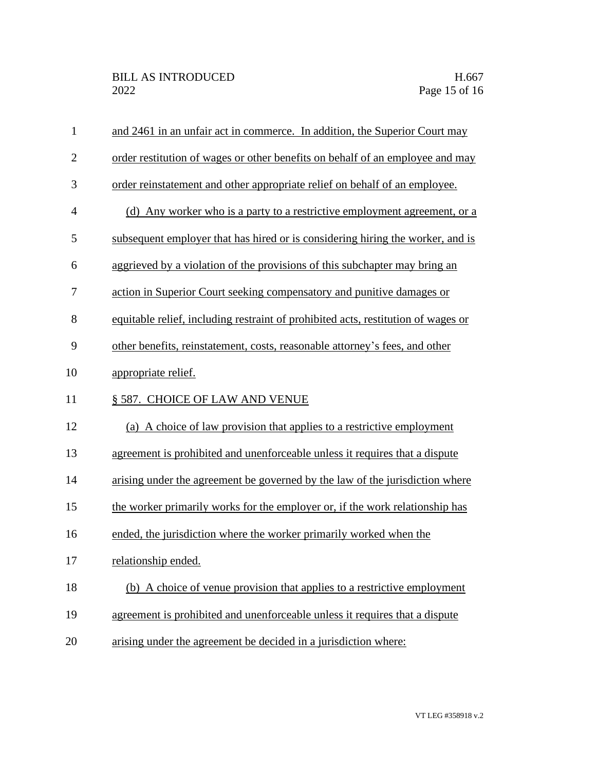| $\mathbf{1}$   | and 2461 in an unfair act in commerce. In addition, the Superior Court may        |
|----------------|-----------------------------------------------------------------------------------|
| $\overline{2}$ | order restitution of wages or other benefits on behalf of an employee and may     |
| 3              | order reinstatement and other appropriate relief on behalf of an employee.        |
| $\overline{4}$ | (d) Any worker who is a party to a restrictive employment agreement, or a         |
| 5              | subsequent employer that has hired or is considering hiring the worker, and is    |
| 6              | aggrieved by a violation of the provisions of this subchapter may bring an        |
| 7              | action in Superior Court seeking compensatory and punitive damages or             |
| 8              | equitable relief, including restraint of prohibited acts, restitution of wages or |
| 9              | other benefits, reinstatement, costs, reasonable attorney's fees, and other       |
| 10             | appropriate relief.                                                               |
| 11             | § 587. CHOICE OF LAW AND VENUE                                                    |
| 12             | (a) A choice of law provision that applies to a restrictive employment            |
| 13             | agreement is prohibited and unenforceable unless it requires that a dispute       |
| 14             | arising under the agreement be governed by the law of the jurisdiction where      |
| 15             | the worker primarily works for the employer or, if the work relationship has      |
| 16             | ended, the jurisdiction where the worker primarily worked when the                |
| 17             | relationship ended.                                                               |
|                |                                                                                   |
| 18             | (b) A choice of venue provision that applies to a restrictive employment          |
| 19             | agreement is prohibited and unenforceable unless it requires that a dispute       |